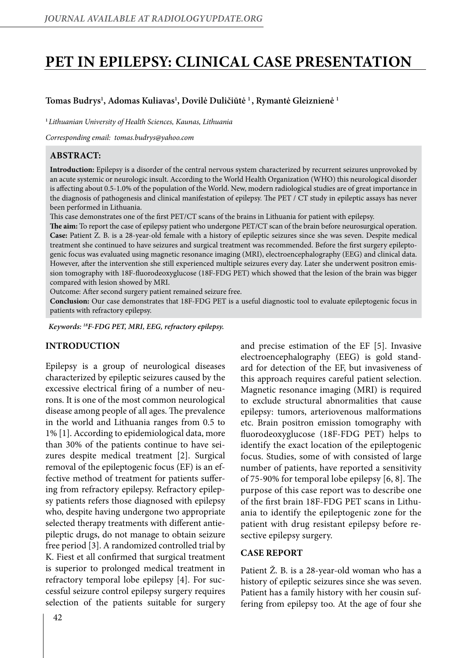# **PET in epilepsy: Clinical case presentation**

## **Tomas Budrys1 , Adomas Kuliavas1 , Dovilė Duličiūtė 1 , Rymantė Gleiznienė 1**

**<sup>1</sup>***Lithuanian University of Health Sciences, Kaunas, Lithuania*

*Corresponding email: tomas.budrys@yahoo.com*

#### **Abstract:**

**Introduction:** Epilepsy is a disorder of the central nervous system characterized by recurrent seizures unprovoked by an acute systemic or neurologic insult. According to the World Health Organization (WHO) this neurological disorder is affecting about 0.5-1.0% of the population of the World. New, modern radiological studies are of great importance in the diagnosis of pathogenesis and clinical manifestation of epilepsy. The PET / CT study in epileptic assays has never been performed in Lithuania.

This case demonstrates one of the first PET/CT scans of the brains in Lithuania for patient with epilepsy.

**The aim:** To report the case of epilepsy patient who undergone PET/CT scan of the brain before neurosurgical operation. **Case:** Patient Z. B. is a 28-year-old female with a history of epileptic seizures since she was seven. Despite medical treatment she continued to have seizures and surgical treatment was recommended. Before the first surgery epileptogenic focus was evaluated using magnetic resonance imaging (MRI), electroencephalography (EEG) and clinical data. However, after the intervention she still experienced multiple seizures every day. Later she underwent positron emission tomography with 18F-fluorodeoxyglucose (18F-FDG PET) which showed that the lesion of the brain was bigger compared with lesion showed by MRI.

Outcome: After second surgery patient remained seizure free.

**Conclusion:** Our case demonstrates that 18F-FDG PET is a useful diagnostic tool to evaluate epileptogenic focus in patients with refractory epilepsy.

*Keywords: 18F-FDG PET, MRI, EEG, refractory epilepsy.*

#### **Introduction**

Epilepsy is a group of neurological diseases characterized by epileptic seizures caused by the excessive electrical firing of a number of neurons. It is one of the most common neurological disease among people of all ages. The prevalence in the world and Lithuania ranges from 0.5 to 1% [1]. According to epidemiological data, more than 30% of the patients continue to have seizures despite medical treatment [2]. Surgical removal of the epileptogenic focus (EF) is an effective method of treatment for patients suffering from refractory epilepsy. Refractory epilepsy patients refers those diagnosed with epilepsy who, despite having undergone two appropriate selected therapy treatments with different antiepileptic drugs, do not manage to obtain seizure free period [3]. A randomized controlled trial by K. Fiest et all confirmed that surgical treatment is superior to prolonged medical treatment in refractory temporal lobe epilepsy [4]. For successful seizure control epilepsy surgery requires selection of the patients suitable for surgery and precise estimation of the EF [5]. Invasive electroencephalography (EEG) is gold standard for detection of the EF, but invasiveness of this approach requires careful patient selection. Magnetic resonance imaging (MRI) is required to exclude structural abnormalities that cause epilepsy: tumors, arteriovenous malformations etc. Brain positron emission tomography with fluorodeoxyglucose (18F-FDG PET) helps to identify the exact location of the epileptogenic focus. Studies, some of with consisted of large number of patients, have reported a sensitivity of 75-90% for temporal lobe epilepsy [6, 8]. The purpose of this case report was to describe one of the first brain 18F-FDG PET scans in Lithuania to identify the epileptogenic zone for the patient with drug resistant epilepsy before resective epilepsy surgery.

## **Case report**

Patient Ž. B. is a 28-year-old woman who has a history of epileptic seizures since she was seven. Patient has a family history with her cousin suffering from epilepsy too. At the age of four she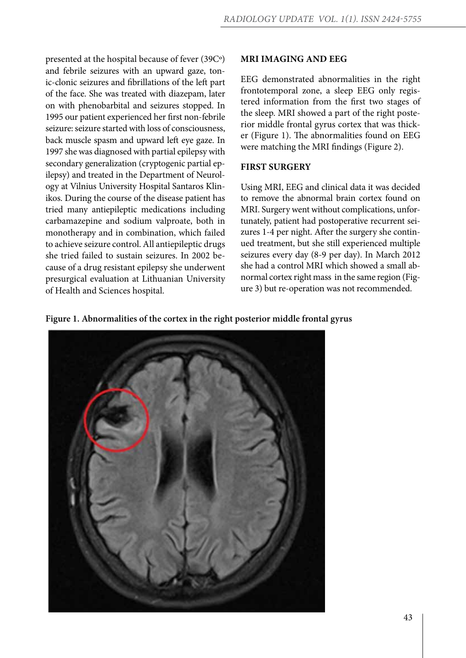presented at the hospital because of fever (39Cº) and febrile seizures with an upward gaze, tonic-clonic seizures and fibrillations of the left part of the face. She was treated with diazepam, later on with phenobarbital and seizures stopped. In 1995 our patient experienced her first non-febrile seizure: seizure started with loss of consciousness, back muscle spasm and upward left eye gaze. In 1997 she was diagnosed with partial epilepsy with secondary generalization (cryptogenic partial epilepsy) and treated in the Department of Neurology at Vilnius University Hospital Santaros Klinikos. During the course of the disease patient has tried many antiepileptic medications including carbamazepine and sodium valproate, both in monotherapy and in combination, which failed to achieve seizure control. All antiepileptic drugs she tried failed to sustain seizures. In 2002 because of a drug resistant epilepsy she underwent presurgical evaluation at Lithuanian University of Health and Sciences hospital.

#### **MRI imaging and EEG**

EEG demonstrated abnormalities in the right frontotemporal zone, a sleep EEG only registered information from the first two stages of the sleep. MRI showed a part of the right posterior middle frontal gyrus cortex that was thicker (Figure 1). The abnormalities found on EEG were matching the MRI findings (Figure 2).

#### **First surgery**

Using MRI, EEG and clinical data it was decided to remove the abnormal brain cortex found on MRI. Surgery went without complications, unfortunately, patient had postoperative recurrent seizures 1-4 per night. After the surgery she continued treatment, but she still experienced multiple seizures every day (8-9 per day). In March 2012 she had a control MRI which showed a small abnormal cortex right mass in the same region (Figure 3) but re-operation was not recommended.



**Figure 1. Abnormalities of the cortex in the right posterior middle frontal gyrus**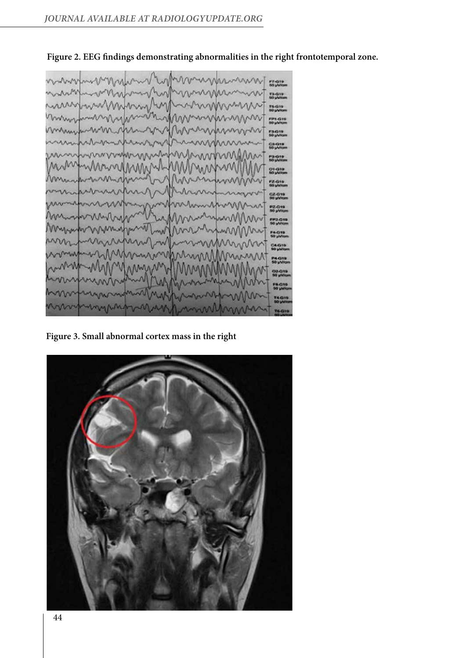

**Figure 2. EEG findings demonstrating abnormalities in the right frontotemporal zone.**

**Figure 3. Small abnormal cortex mass in the right**

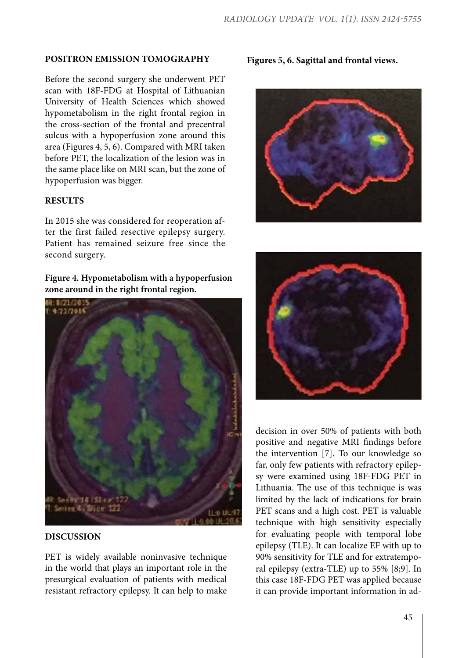## **Positron Emission Tomography**

Before the second surgery she underwent PET scan with 18F-FDG at Hospital of Lithuanian University of Health Sciences which showed hypometabolism in the right frontal region in the cross-section of the frontal and precentral sulcus with a hypoperfusion zone around this area (Figures 4, 5, 6). Compared with MRI taken before PET, the localization of the lesion was in the same place like on MRI scan, but the zone of hypoperfusion was bigger.

## **Results**

In 2015 she was considered for reoperation after the first failed resective epilepsy surgery. Patient has remained seizure free since the second surgery.

**Figure 4. Hypometabolism with a hypoperfusion zone around in the right frontal region.**



#### **Discussion**

PET is widely available noninvasive technique in the world that plays an important role in the presurgical evaluation of patients with medical resistant refractory epilepsy. It can help to make

**Figures 5, 6. Sagittal and frontal views.**





decision in over 50% of patients with both positive and negative MRI findings before the intervention [7]. To our knowledge so far, only few patients with refractory epilepsy were examined using 18F-FDG PET in Lithuania. The use of this technique is was limited by the lack of indications for brain PET scans and a high cost. PET is valuable technique with high sensitivity especially for evaluating people with temporal lobe epilepsy (TLE). It can localize EF with up to 90% sensitivity for TLE and for extratemporal epilepsy (extra-TLE) up to 55% [8;9]. In this case 18F-FDG PET was applied because it can provide important information in ad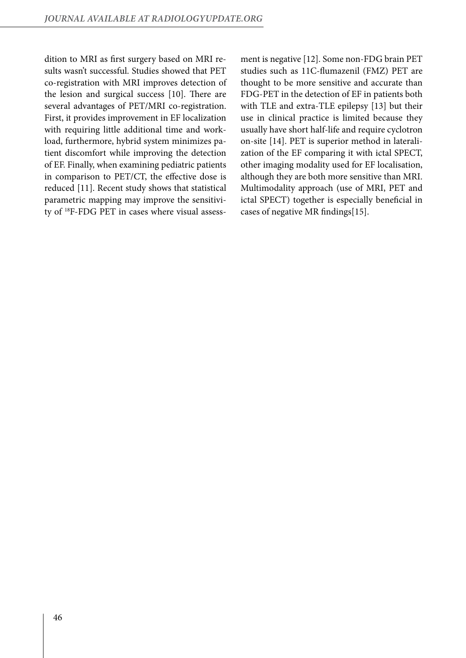dition to MRI as first surgery based on MRI results wasn't successful. Studies showed that PET co-registration with MRI improves detection of the lesion and surgical success [10]. There are several advantages of PET/MRI co-registration. First, it provides improvement in EF localization with requiring little additional time and workload, furthermore, hybrid system minimizes patient discomfort while improving the detection of EF. Finally, when examining pediatric patients in comparison to PET/CT, the effective dose is reduced [11]. Recent study shows that statistical parametric mapping may improve the sensitivity of 18F-FDG PET in cases where visual assessment is negative [12]. Some non-FDG brain PET studies such as 11C-flumazenil (FMZ) PET are thought to be more sensitive and accurate than FDG-PET in the detection of EF in patients both with TLE and extra-TLE epilepsy [13] but their use in clinical practice is limited because they usually have short half-life and require cyclotron on-site [14]. PET is superior method in lateralization of the EF comparing it with ictal SPECT, other imaging modality used for EF localisation, although they are both more sensitive than MRI. Multimodality approach (use of MRI, PET and ictal SPECT) together is especially beneficial in cases of negative MR findings[15].